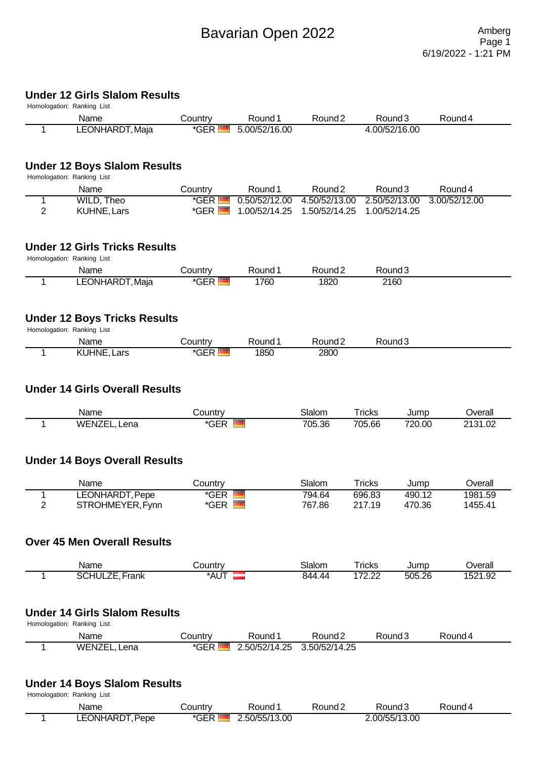# **Under 12 Girls Slalom Results**

|                | Homologation: Ranking List            |                  |                    |                    |                         |                    |                    |
|----------------|---------------------------------------|------------------|--------------------|--------------------|-------------------------|--------------------|--------------------|
|                | Name                                  | Country          | Round 1            | Round <sub>2</sub> |                         | Round <sub>3</sub> | Round 4            |
| 1              | LEONHARDT, Maja                       | *GER             | 5.00/52/16.00      |                    |                         | 4.00/52/16.00      |                    |
|                |                                       |                  |                    |                    |                         |                    |                    |
|                | <b>Under 12 Boys Slalom Results</b>   |                  |                    |                    |                         |                    |                    |
|                | Homologation: Ranking List<br>Name    | Country          | Round 1            | Round <sub>2</sub> |                         | Round <sub>3</sub> | Round 4            |
| 1              | <b>WILD, Theo</b>                     | $*GER$           | 0.50/52/12.00      | 4.50/52/13.00      |                         | 2.50/52/13.00      | 3.00/52/12.00      |
| $\overline{2}$ | KUHNE, Lars                           | $*GER$ $\Box$    | 1.00/52/14.25      | 1.50/52/14.25      |                         | 1.00/52/14.25      |                    |
|                | <b>Under 12 Girls Tricks Results</b>  |                  |                    |                    |                         |                    |                    |
|                | Homologation: Ranking List            |                  |                    |                    |                         |                    |                    |
|                | Name                                  | Country          | Round 1            | Round <sub>2</sub> |                         | Round <sub>3</sub> |                    |
| 1              | LEONHARDT, Maja                       | $*GER$           | 1760               | 1820               | 2160                    |                    |                    |
|                | <b>Under 12 Boys Tricks Results</b>   |                  |                    |                    |                         |                    |                    |
|                | Homologation: Ranking List            |                  |                    |                    |                         |                    |                    |
|                | Name                                  | Country          | Round 1            | Round <sub>2</sub> |                         | Round <sub>3</sub> |                    |
| 1              | <b>KUHNE, Lars</b>                    | $*GER$           | 1850               | 2800               |                         |                    |                    |
|                | <b>Under 14 Girls Overall Results</b> |                  |                    |                    |                         |                    |                    |
|                |                                       |                  |                    |                    |                         |                    |                    |
| 1              | Name<br><b>WENZEL, Lena</b>           | Country<br>*GER  |                    | Slalom<br>705.36   | <b>Tricks</b><br>705.66 | Jump<br>720.00     | Overall<br>2131.02 |
|                |                                       |                  |                    |                    |                         |                    |                    |
|                | <b>Under 14 Boys Overall Results</b>  |                  |                    |                    |                         |                    |                    |
|                |                                       |                  |                    |                    |                         |                    |                    |
|                | Name                                  | Country          |                    | Slalom             | <b>Tricks</b>           | Jump               | Overall            |
| 1<br>2         | LEONHARDT, Pepe<br>STROHMEYER, Fynn   | $*GER$<br>*GER I |                    | 794.64<br>767.86   | 696.83<br>217.19        | 490.12<br>470.36   | 1981.59<br>1455.41 |
|                |                                       |                  |                    |                    |                         |                    |                    |
|                | <b>Over 45 Men Overall Results</b>    |                  |                    |                    |                         |                    |                    |
|                |                                       |                  |                    |                    |                         |                    |                    |
|                | Name                                  | Country          |                    | Slalom             | <b>Tricks</b>           | Jump               | Overall            |
| 1              | <b>SCHULZE, Frank</b>                 | *aut             |                    | 844.44             | 172.22                  | 505.26             | 1521.92            |
|                | <b>Under 14 Girls Slalom Results</b>  |                  |                    |                    |                         |                    |                    |
|                | Homologation: Ranking List            |                  |                    |                    |                         |                    |                    |
|                | Name                                  | Country          | Round <sub>1</sub> | Round <sub>2</sub> |                         | Round <sub>3</sub> | Round 4            |
| 1              | WENZEL, Lena                          | *GER             | 2.50/52/14.25      | 3.50/52/14.25      |                         |                    |                    |
|                | <b>Under 14 Boys Slalom Results</b>   |                  |                    |                    |                         |                    |                    |
|                | Homologation: Ranking List            |                  |                    |                    |                         |                    |                    |
|                | Name                                  | Country          | Round 1            | Round <sub>2</sub> |                         | Round <sub>3</sub> | Round 4            |

1 LEONHARDT, Pepe \*GER 2.50/55/13.00 2.00/55/13.00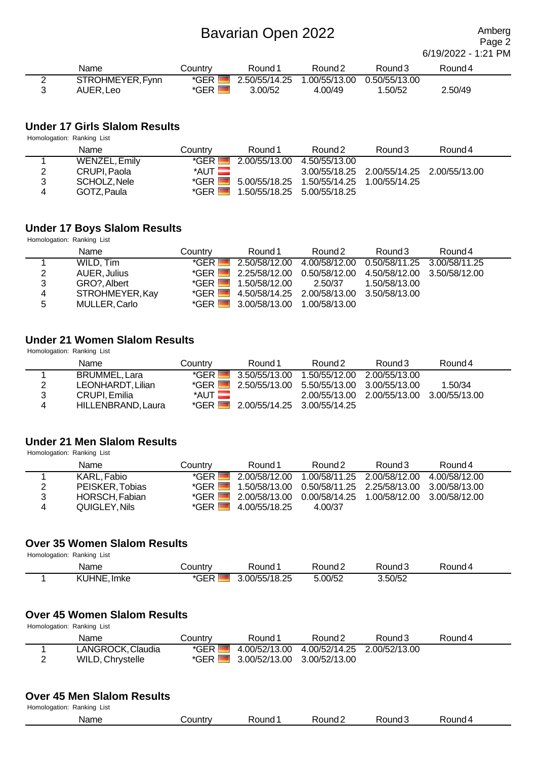Page 2 6/19/2022 - 1:21 PM

| Name             | こountrv | Round 1 | Round <sub>2</sub>           | Round 3       | Round 4 |
|------------------|---------|---------|------------------------------|---------------|---------|
| STROHMEYER, Fynn | *GER ⊾  |         | 2.50/55/14.25  1.00/55/13.00 | 0.50/55/13.00 |         |
| AUER, Leo        | *GER,   | 3.00/52 | 4.00/49                      | .50/52        | 2.50/49 |

#### **Under 17 Girls Slalom Results**

| Homologation: Ranking List |               |                        |                             |                                             |                                           |         |  |  |  |
|----------------------------|---------------|------------------------|-----------------------------|---------------------------------------------|-------------------------------------------|---------|--|--|--|
|                            | Name          | Countrv                | Round 1                     | Round <sub>2</sub>                          | Round 3                                   | Round 4 |  |  |  |
|                            | WENZEL, Emily | $*GFR$                 | 2.00/55/13.00               | 4.50/55/13.00                               |                                           |         |  |  |  |
| 2                          | CRUPI. Paola  | $*$ AUT $\blacksquare$ |                             |                                             | 3.00/55/18.25 2.00/55/14.25 2.00/55/13.00 |         |  |  |  |
| 3                          | SCHOLZ. Nele  | $*GFR$                 |                             | 5.00/55/18.25  1.50/55/14.25  1.00/55/14.25 |                                           |         |  |  |  |
| 4                          | GOTZ, Paula   | $*GFR$                 | 1.50/55/18.25 5.00/55/18.25 |                                             |                                           |         |  |  |  |

#### **Under 17 Boys Slalom Results**

Homologation: Ranking List

|   | Name            | Countrv       | Round 1                     | Round 2                                                      | Round 3       | Round 4 |
|---|-----------------|---------------|-----------------------------|--------------------------------------------------------------|---------------|---------|
|   | WILD, Tim       | $*GFR$        | 2.50/58/12.00               | 4.00/58/12.00  0.50/58/11.25  3.00/58/11.25                  |               |         |
| 2 | AUER, Julius    |               |                             | *GER 2.25/58/12.00 0.50/58/12.00 4.50/58/12.00 3.50/58/12.00 |               |         |
| 3 | GRO?, Albert    | $*GFR$ $\Box$ | 1.50/58/12.00               | 2.50/37                                                      | 1.50/58/13.00 |         |
| 4 | STROHMEYER, Kay | $*GFR$ $\Box$ |                             | 4.50/58/14.25  2.00/58/13.00  3.50/58/13.00                  |               |         |
| 5 | MULLER, Carlo   | $*GFR$ $\Box$ | 3.00/58/13.00 1.00/58/13.00 |                                                              |               |         |

#### **Under 21 Women Slalom Results**

Homologation: Ranking List

|   | Name               | Country               | Round 1                                        | Round 2 | Round 3                                   | Round 4 |
|---|--------------------|-----------------------|------------------------------------------------|---------|-------------------------------------------|---------|
|   | BRUMMEL, Lara      | $*GFR$ $\blacksquare$ |                                                |         | 2.00/55/13.00                             |         |
| 2 | LEONHARDT, Lilian  |                       | *GER 2.50/55/13.00 5.50/55/13.00 3.00/55/13.00 |         |                                           | 1.50/34 |
| 3 | CRUPI. Emilia      | $*$ AUT $\Box$        |                                                |         | 2.00/55/13.00 2.00/55/13.00 3.00/55/13.00 |         |
| 4 | HILLENBRAND, Laura |                       | *GER 2.00/55/14.25 3.00/55/14.25               |         |                                           |         |

#### **Under 21 Men Slalom Results**

Homologation: Ranking List

|   | Name            | Country               | Round 1       | Round <sub>2</sub>                                           | Round 3 | Round 4 |
|---|-----------------|-----------------------|---------------|--------------------------------------------------------------|---------|---------|
|   | KARL, Fabio     | $*GFR$ $\blacksquare$ |               |                                                              |         |         |
| 2 | PEISKER, Tobias |                       |               | *GER 1.50/58/13.00 0.50/58/11.25 2.25/58/13.00 3.00/58/13.00 |         |         |
| 3 | HORSCH, Fabian  |                       |               | *GER 2.00/58/13.00 0.00/58/14.25 1.00/58/12.00 3.00/58/12.00 |         |         |
| 4 | QUIGLEY, Nils   | $*GFR$ $\Box$         | 4.00/55/18.25 | 4.00/37                                                      |         |         |

### **Over 35 Women Slalom Results**

Homologation: Ranking List

| Name                             | ⊃ountr∨                       | Round        | Round∠  | Round.  | Round 4 |
|----------------------------------|-------------------------------|--------------|---------|---------|---------|
| $\cdots$<br><b>KUHNE</b><br>Imke | $* \cap \Gamma \Gamma$<br>GER | .00/55/18.25 | 5.00/52 | 3.50/52 |         |

### **Over 45 Women Slalom Results**

Homologation: Ranking List

| Name              | Country               | Round 1                                    | Round <sub>2</sub>                        | Round 3 | Round 4 |
|-------------------|-----------------------|--------------------------------------------|-------------------------------------------|---------|---------|
| LANGROCK, Claudia | *GER I                |                                            | 4.00/52/13.00 4.00/52/14.25 2.00/52/13.00 |         |         |
| WILD, Chrystelle  | $*GFR$ $\blacksquare$ | $\blacksquare$ 3.00/52/13.00 3.00/52/13.00 |                                           |         |         |

#### **Over 45 Men Slalom Results**

| Homologation: Ranking List |          |                    |                    |        |         |  |  |  |
|----------------------------|----------|--------------------|--------------------|--------|---------|--|--|--|
| Name                       | .ountryٽ | Round <sup>1</sup> | Round <sub>2</sub> | Round3 | Round 4 |  |  |  |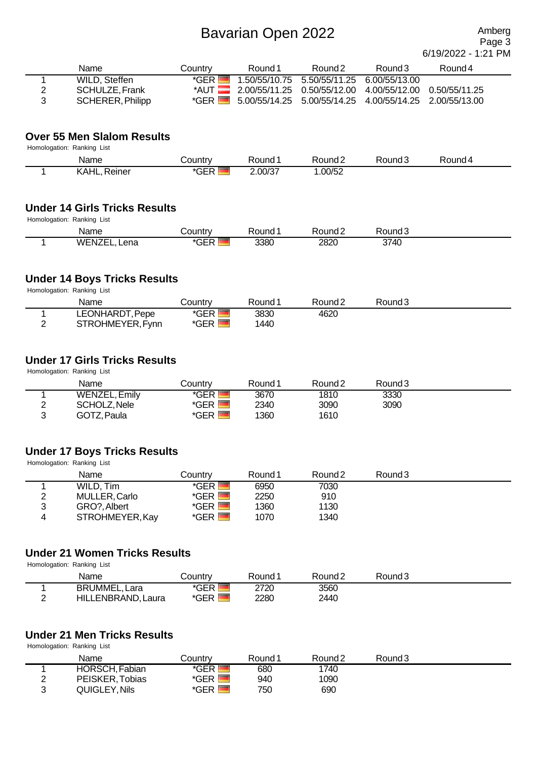Page 3 6/19/2022 - 1:21 PM

| Name             | Countrv | Round 1 | Round <sub>2</sub>                                           | Round 3 | Round 4 |
|------------------|---------|---------|--------------------------------------------------------------|---------|---------|
| WILD, Steffen    | *GFR I  |         | 1.50/55/10.75 5.50/55/11.25 6.00/55/13.00                    |         |         |
| SCHULZE, Frank   |         |         | *AUT 2.00/55/11.25 0.50/55/12.00 4.00/55/12.00 0.50/55/11.25 |         |         |
| SCHERER, Philipp | *GER I  |         | 5.00/55/14.25 5.00/55/14.25 4.00/55/14.25 2.00/55/13.00      |         |         |

#### **Over 55 Men Slalom Results**

Homologation: Ranking List

| <b>Name</b>     | Country                    | Round 1 | रेound 2 | Round 3 | Round 4 |  |
|-----------------|----------------------------|---------|----------|---------|---------|--|
| KAHL,<br>≀einer | $*$ $\cap$ $\Gamma$<br>jEK | 2.00/37 | .00/52   |         |         |  |

#### **Under 14 Girls Tricks Results**

Homologation: Ranking List

| Name                 | `ountry         | Round | Round∠      | 'ound∪ |  |
|----------------------|-----------------|-------|-------------|--------|--|
| WENZ.<br>-ena<br>∕ ⊢ | $- - -$<br>*GER | 3380  | 2820<br>___ | 3740   |  |

#### **Under 14 Boys Tricks Results**

Homologation: Ranking List

| Name             | Countrv | Round <sup>1</sup> | Round <sub>2</sub> | Round 3 |  |
|------------------|---------|--------------------|--------------------|---------|--|
| LEONHARDT, Pepe  | *GER    | 383C               | 4620               |         |  |
| STROHMEYER, Fynn | *GER    | 1440               |                    |         |  |

### **Under 17 Girls Tricks Results**

Homologation: Ranking List

|            | Name                 | Countrv | Round 1 | Round <sub>2</sub> | Round <sub>3</sub> |  |
|------------|----------------------|---------|---------|--------------------|--------------------|--|
|            | <b>WENZEL, Emily</b> | *GER    | 3670    | 1810               | 3330               |  |
| ◠          | SCHOLZ, Nele         | *GER    | 2340    | 3090               | 3090               |  |
| $\sqrt{2}$ | GOTZ, Paula          | *GER    | 1360    | 1610               |                    |  |

# **Under 17 Boys Tricks Results**

Homologation: Ranking List

|   | Name            | Countrv               | Round 1 | Round <sub>2</sub> | Round 3 |  |
|---|-----------------|-----------------------|---------|--------------------|---------|--|
|   | WILD, Tim       | *GER                  | 6950    | 7030               |         |  |
| ∠ | MULLER, Carlo   | *GER                  | 2250    | 910                |         |  |
| າ | GRO?, Albert    | *GER                  | 1360    | 1130               |         |  |
|   | STROHMEYER, Kay | $*GER$ $\blacksquare$ | 1070    | 1340               |         |  |

### **Under 21 Women Tricks Results**

Homologation: Ranking List

| Name                 | ountr∨ ٺ | Round | Round 2 | Round3 |  |
|----------------------|----------|-------|---------|--------|--|
| <b>BRUMMEL, Lara</b> | $*GER$   | 2720  | 3560    |        |  |
| HILLENBRAND, Laura   | *GER     | 2280  | 2440    |        |  |

### **Under 21 Men Tricks Results**

Homologation: Ranking List

| Name            | Countrv | Round 1 | Round <sub>2</sub> | Round 3 |  |
|-----------------|---------|---------|--------------------|---------|--|
| HORSCH, Fabian  | *GER    | 680     | 1740               |         |  |
| PEISKER, Tobias | *GER    | 940     | 1090               |         |  |
| QUIGLEY, Nils   | *GER    | 750     | 690                |         |  |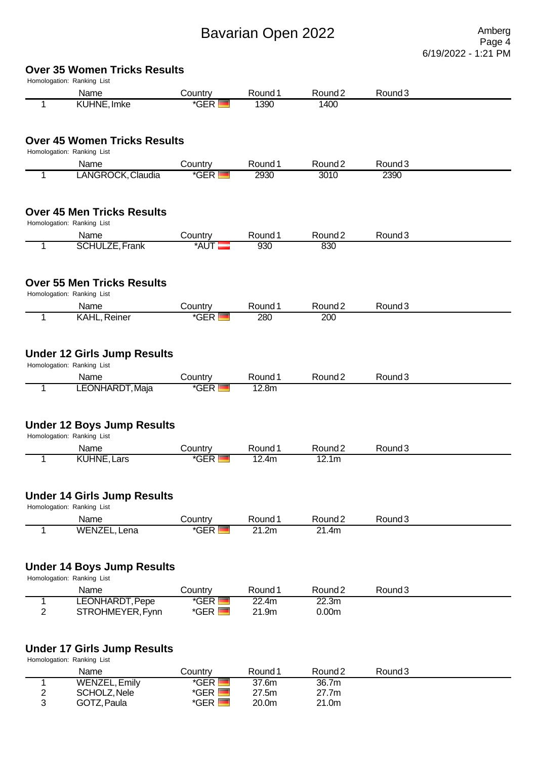Page 4 6/19/2022 - 1:21 PM

# **Over 35 Women Tricks Results**

|                  | Homologation: Ranking List<br>Name                                       | Country           | Round 1 | Round <sub>2</sub> | Round <sub>3</sub> |  |
|------------------|--------------------------------------------------------------------------|-------------------|---------|--------------------|--------------------|--|
| 1                | <b>KUHNE, Imke</b>                                                       | *GER              | 1390    | 1400               |                    |  |
|                  |                                                                          |                   |         |                    |                    |  |
|                  | <b>Over 45 Women Tricks Results</b>                                      |                   |         |                    |                    |  |
|                  | Homologation: Ranking List                                               |                   |         |                    |                    |  |
|                  | Name                                                                     | Country           | Round 1 | Round <sub>2</sub> | Round <sub>3</sub> |  |
| 1                | LANGROCK, Claudia                                                        | *GER I            | 2930    | 3010               | 2390               |  |
|                  | <b>Over 45 Men Tricks Results</b><br>Homologation: Ranking List          |                   |         |                    |                    |  |
|                  | Name                                                                     | Country           | Round 1 | Round <sub>2</sub> | Round <sub>3</sub> |  |
| 1                | <b>SCHULZE, Frank</b>                                                    | *AUT              | 930     | 830                |                    |  |
|                  | <b>Over 55 Men Tricks Results</b>                                        |                   |         |                    |                    |  |
|                  | Homologation: Ranking List                                               |                   |         |                    |                    |  |
|                  | Name                                                                     | Country           | Round 1 | Round <sub>2</sub> | Round <sub>3</sub> |  |
| 1                | KAHL, Reiner                                                             | $*GER$ $\Box$     | 280     | 200                |                    |  |
|                  | <b>Under 12 Girls Jump Results</b><br>Homologation: Ranking List<br>Name | Country           | Round 1 | Round <sub>2</sub> | Round <sub>3</sub> |  |
| 1                | LEONHARDT, Maja                                                          | *GER I            | 12.8m   |                    |                    |  |
|                  | <b>Under 12 Boys Jump Results</b><br>Homologation: Ranking List<br>Name  | Country           | Round 1 | Round <sub>2</sub> | Round <sub>3</sub> |  |
| 1                | <b>KUHNE, Lars</b>                                                       | *GER              | 12.4m   | 12.1m              |                    |  |
|                  | <b>Under 14 Girls Jump Results</b>                                       |                   |         |                    |                    |  |
|                  | Homologation: Ranking List                                               |                   |         |                    |                    |  |
|                  | Name                                                                     | Country           | Round 1 | Round <sub>2</sub> | Round <sub>3</sub> |  |
| 1                | WENZEL, Lena                                                             | $*GER$ $\Box$     | 21.2m   | 21.4m              |                    |  |
|                  | <b>Under 14 Boys Jump Results</b><br>Homologation: Ranking List          |                   |         |                    |                    |  |
|                  | Name                                                                     | Country           | Round 1 | Round <sub>2</sub> | Round <sub>3</sub> |  |
| 1                | LEONHARDT, Pepe                                                          | *GER <sup>I</sup> | 22.4m   | 22.3m              |                    |  |
| $\overline{2}$   | STROHMEYER, Fynn                                                         | $*GER$ $\Box$     | 21.9m   | 0.00 <sub>m</sub>  |                    |  |
|                  | <b>Under 17 Girls Jump Results</b><br>Homologation: Ranking List         |                   |         |                    |                    |  |
|                  | Name                                                                     | Country           | Round 1 | Round <sub>2</sub> | Round <sub>3</sub> |  |
| 1                | <b>WENZEL, Emily</b>                                                     | $*GER$            | 37.6m   | 36.7m              |                    |  |
| $\boldsymbol{2}$ | SCHOLZ, Nele                                                             | $*GER$ $\Box$     | 27.5m   | 27.7m              |                    |  |
| 3                | GOTZ, Paula                                                              | $*GER$ $\Box$     | 20.0m   | 21.0m              |                    |  |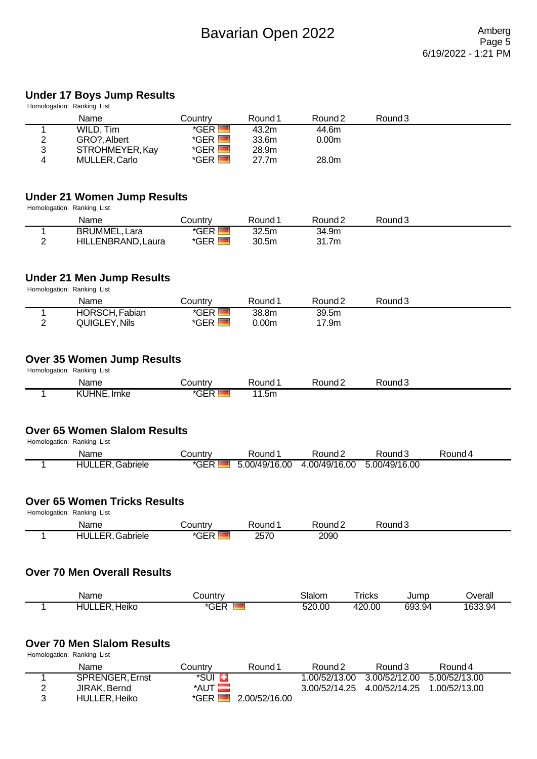# **Under 17 Boys Jump Results**

|                | onaer i <i>r b</i> oys Jump Nesuns<br>Homologation: Ranking List  |                                |                   |                    |               |                    |               |
|----------------|-------------------------------------------------------------------|--------------------------------|-------------------|--------------------|---------------|--------------------|---------------|
|                | Name                                                              | Country                        | Round 1           | Round <sub>2</sub> |               | Round <sub>3</sub> |               |
| 1              | WILD, Tim                                                         | *GER <sup>I</sup>              | 43.2m             | 44.6m              |               |                    |               |
| 2<br>3         | GRO?, Albert<br>STROHMEYER, Kay                                   | $*GER$ $\Box$<br>$*GER$ $\Box$ | 33.6m<br>28.9m    | 0.00 <sub>m</sub>  |               |                    |               |
| 4              | MULLER, Carlo                                                     | $*GER$ $\Box$                  | 27.7m             | 28.0m              |               |                    |               |
|                |                                                                   |                                |                   |                    |               |                    |               |
|                | <b>Under 21 Women Jump Results</b><br>Homologation: Ranking List  |                                |                   |                    |               |                    |               |
|                | Name                                                              | Country                        | Round 1           | Round <sub>2</sub> |               | Round <sub>3</sub> |               |
| 1              | <b>BRUMMEL, Lara</b>                                              | $*GER$                         | 32.5m             | 34.9m              |               |                    |               |
| $\overline{2}$ | HILLENBRAND, Laura                                                | $*GER$ $\Box$                  | 30.5m             | 31.7m              |               |                    |               |
|                | <b>Under 21 Men Jump Results</b>                                  |                                |                   |                    |               |                    |               |
|                | Homologation: Ranking List                                        |                                |                   |                    |               |                    |               |
|                | Name                                                              | Country                        | Round 1           | Round <sub>2</sub> |               | Round <sub>3</sub> |               |
| 1              | HORSCH, Fabian                                                    | $*GER$                         | 38.8m             | 39.5m              |               |                    |               |
| $\overline{2}$ | QUIGLEY, Nils                                                     | $*GER$ $\Box$                  | 0.00 <sub>m</sub> | 17.9m              |               |                    |               |
|                | <b>Over 35 Women Jump Results</b>                                 |                                |                   |                    |               |                    |               |
|                | Homologation: Ranking List                                        |                                |                   |                    |               |                    |               |
|                | Name                                                              | Country<br>*GER <sup>1</sup>   | Round 1<br>11.5m  | Round <sub>2</sub> |               | Round <sub>3</sub> |               |
|                | <b>Over 65 Women Slalom Results</b><br>Homologation: Ranking List |                                |                   |                    |               |                    |               |
|                | Name                                                              | Country                        | Round 1           | Round <sub>2</sub> |               | Round <sub>3</sub> | Round 4       |
| 1              | <b>HULLER, Gabriele</b>                                           | $*GER$                         | 5.00/49/16.00     | 4.00/49/16.00      |               | 5.00/49/16.00      |               |
|                | <b>Over 65 Women Tricks Results</b><br>Homologation: Ranking List |                                |                   |                    |               |                    |               |
|                | Name                                                              | Country                        | Round 1           | Round <sub>2</sub> |               | Round <sub>3</sub> |               |
| 1              | <b>HULLER, Gabriele</b>                                           | $*GER$                         | 2570              | 2090               |               |                    |               |
|                |                                                                   |                                |                   |                    |               |                    |               |
|                | <b>Over 70 Men Overall Results</b>                                |                                |                   |                    |               |                    |               |
|                | Name                                                              | Country                        |                   | Slalom             | <b>Tricks</b> | Jump               | Overall       |
| 1              | <b>HULLER, Heiko</b>                                              | $*GER$                         |                   | 520.00             | 420.00        | 693.94             | 1633.94       |
|                |                                                                   |                                |                   |                    |               |                    |               |
|                | <b>Over 70 Men Slalom Results</b><br>Homologation: Ranking List   |                                |                   |                    |               |                    |               |
|                | Name                                                              | Country                        | Round 1           | Round <sub>2</sub> |               | Round <sub>3</sub> | Round 4       |
| 1              | <b>SPRENGER, Ernst</b>                                            | *SUI <mark>Li</mark>           |                   | 1.00/52/13.00      |               | 3.00/52/12.00      | 5.00/52/13.00 |
| 2              | JIRAK, Bernd                                                      | $*$ AUT $\blacksquare$         |                   | 3.00/52/14.25      |               | 4.00/52/14.25      | 1.00/52/13.00 |
| 3              | <b>HULLER, Heiko</b>                                              | $*GER$                         | 2.00/52/16.00     |                    |               |                    |               |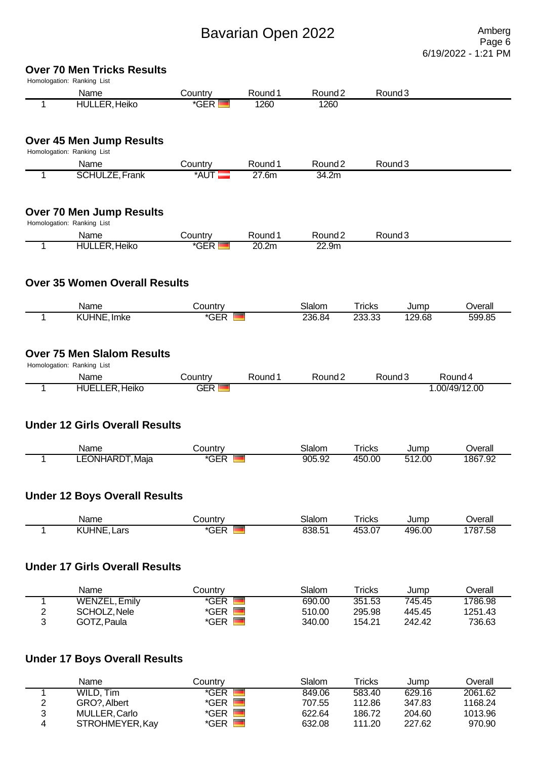Page 6 6/19/2022 - 1:21 PM

# **Over 70 Men Tricks Results**

| Homologation: Ranking List |                                       |                                        |                    |                    |                         |                    |                    |
|----------------------------|---------------------------------------|----------------------------------------|--------------------|--------------------|-------------------------|--------------------|--------------------|
|                            | Name                                  | Country                                | Round <sub>1</sub> | Round <sub>2</sub> |                         | Round <sub>3</sub> |                    |
| 1                          | <b>HULLER, Heiko</b>                  | $*GER$                                 | 1260               | 1260               |                         |                    |                    |
|                            | <b>Over 45 Men Jump Results</b>       |                                        |                    |                    |                         |                    |                    |
|                            | Homologation: Ranking List            |                                        |                    |                    |                         |                    |                    |
|                            | Name                                  | Country                                | Round <sub>1</sub> | Round <sub>2</sub> |                         | Round <sub>3</sub> |                    |
| 1                          | <b>SCHULZE, Frank</b>                 | *AUT                                   | 27.6m              | 34.2m              |                         |                    |                    |
|                            | <b>Over 70 Men Jump Results</b>       |                                        |                    |                    |                         |                    |                    |
|                            | Homologation: Ranking List            |                                        |                    |                    |                         |                    |                    |
|                            | Name                                  | Country                                | Round 1            | Round <sub>2</sub> |                         | Round <sub>3</sub> |                    |
| 1                          | <b>HULLER, Heiko</b>                  | *GER I                                 | 20.2m              | 22.9m              |                         |                    |                    |
|                            | <b>Over 35 Women Overall Results</b>  |                                        |                    |                    |                         |                    |                    |
|                            | Name                                  | Country                                |                    | Slalom             | <b>Tricks</b>           | Jump               | Overall            |
| $\mathbf{1}$               | KUHNE, Imke                           | *GER                                   |                    | 236.84             | 233.33                  | 129.68             | 599.85             |
|                            |                                       |                                        |                    |                    |                         |                    |                    |
|                            | <b>Over 75 Men Slalom Results</b>     |                                        |                    |                    |                         |                    |                    |
|                            | Homologation: Ranking List            |                                        |                    |                    |                         |                    |                    |
|                            | Name                                  | Country                                | Round <sub>1</sub> | Round <sub>2</sub> |                         | Round <sub>3</sub> | Round 4            |
| 1                          | <b>HUELLER, Heiko</b>                 | <b>GER</b>                             |                    |                    |                         |                    | 1.00/49/12.00      |
|                            | <b>Under 12 Girls Overall Results</b> |                                        |                    |                    |                         |                    |                    |
|                            |                                       |                                        |                    |                    |                         |                    |                    |
| 1                          | Name<br>LEONHARDT, Maja               | Country<br>$*GER$                      |                    | Slalom<br>905.92   | <b>Tricks</b><br>450.00 | Jump<br>512.00     | Overall            |
|                            |                                       |                                        |                    |                    |                         |                    | 1867.92            |
|                            | <b>Under 12 Boys Overall Results</b>  |                                        |                    |                    |                         |                    |                    |
| 1                          | Name<br><b>KUHNE, Lars</b>            | Country<br>$*GER$ $\blacksquare$       |                    | Slalom<br>838.51   | <b>Tricks</b><br>453.07 | Jump<br>496.00     | Overall<br>1787.58 |
|                            | <b>Under 17 Girls Overall Results</b> |                                        |                    |                    |                         |                    |                    |
|                            | Name                                  | Country                                |                    | Slalom             | <b>Tricks</b>           | Jump               | Overall            |
| 1                          | <b>WENZEL, Emily</b>                  | $*GER$                                 | ▀                  | 690.00             | 351.53                  | 745.45             | 1786.98            |
| $\overline{2}$<br>3        | SCHOLZ, Nele<br>GOTZ, Paula           | $*GER$ $\blacksquare$<br>$*GER$ $\Box$ |                    | 510.00<br>340.00   | 295.98<br>154.21        | 445.45<br>242.42   | 1251.43<br>736.63  |

|   | Name            | Countrv | Slalom | Tricks | Jump   | Overall |
|---|-----------------|---------|--------|--------|--------|---------|
|   | WILD, Tim       | *GER    | 849.06 | 583.40 | 629.16 | 2061.62 |
|   | GRO?, Albert    | *GER.   | 707.55 | 112.86 | 347.83 | 1168.24 |
| ว | MULLER, Carlo   | *GER L  | 622.64 | 186.72 | 204.60 | 1013.96 |
|   | STROHMEYER, Kay | *GER ⊾  | 632.08 | 111.20 | 227.62 | 970.90  |